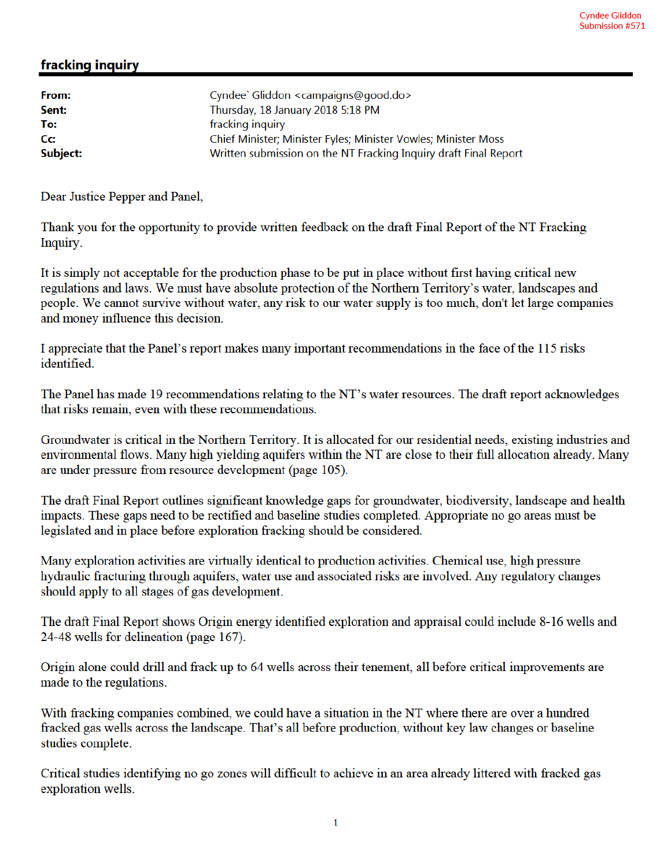## fracking inquiry

| From:    | Cyndee` Gliddon <campaigns@good.do></campaigns@good.do>          |
|----------|------------------------------------------------------------------|
| Sent:    | Thursday, 18 January 2018 5:18 PM                                |
| To:      | fracking inquiry                                                 |
| Cc:      | Chief Minister; Minister Fyles; Minister Vowles; Minister Moss   |
| Subject: | Written submission on the NT Fracking Inquiry draft Final Report |
|          |                                                                  |

Dear Justice Pepper and Panel,

Thank you for the opportunity to provide written feedback on the draft Final Report of the NT Fracking Inquiry.

It is simply not acceptable for the production phase to be put in place without first having critical new regulations and laws. We must have absolute protection of the Northern Territory's water, landscapes and people. We cannot survive without water, any risk to our water supply is too much, don't let large companies and money influence this decision.

I appreciate that the Panel's report makes many important recommendations in the face of the 115 risks identified.

The Panel has made 19 recommendations relating to the NT's water resources. The draft report acknowledges that risks remain, even with these recommendations.

Groundwater is critical in the Northern Territory. It is allocated for our residential needs, existing industries and environmental flows. Many high yielding aquifers within the NT are close to their full allocation already. Many are under pressure from resource development (page 105).

The draft Final Report outlines significant knowledge gaps for groundwater, biodiversity, landscape and health impacts. These gaps need to be rectified and baseline studies completed. Appropriate no go areas must be legislated and in place before exploration fracking should be considered.

Many exploration activities are virtually identical to production activities. Chemical use, high pressure hydraulic fracturing through aquifers, water use and associated risks are involved. Any regulatory changes should apply to all stages of gas development.

The draft Final Report shows Origin energy identified exploration and appraisal could include 8-16 wells and 24-48 wells for delineation (page 167).

Origin alone could drill and frack up to 64 wells across their tenement, all before critical improvements are made to the regulations.

With fracking companies combined, we could have a situation in the NT where there are over a hundred fracked gas wells across the landscape. That's all before production, without key law changes or baseline studies complete.

Critical studies identifying no go zones will difficult to achieve in an area already littered with fracked gas exploration wells.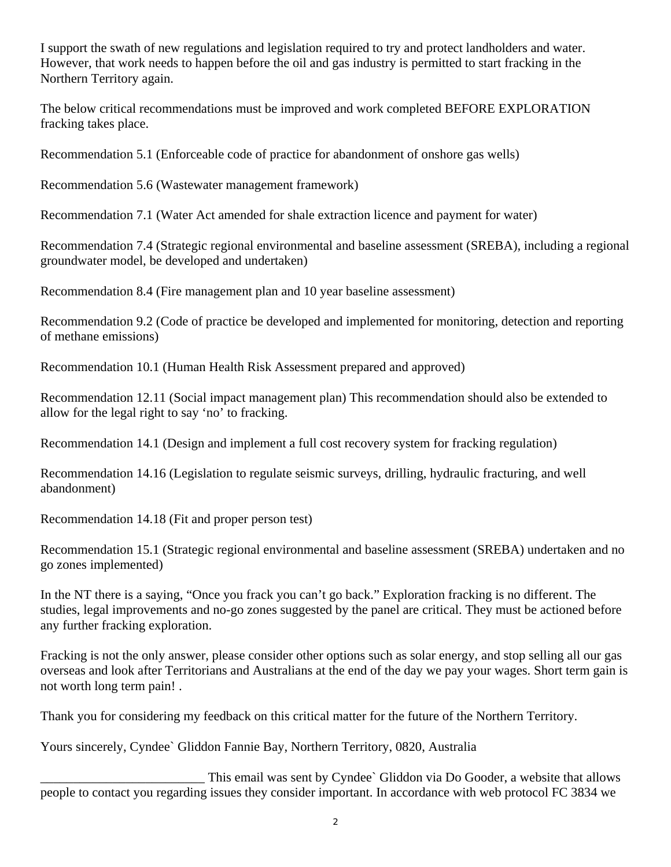I support the swath of new regulations and legislation required to try and protect landholders and water. However, that work needs to happen before the oil and gas industry is permitted to start fracking in the Northern Territory again.

The below critical recommendations must be improved and work completed BEFORE EXPLORATION fracking takes place.

Recommendation 5.1 (Enforceable code of practice for abandonment of onshore gas wells)

Recommendation 5.6 (Wastewater management framework)

Recommendation 7.1 (Water Act amended for shale extraction licence and payment for water)

Recommendation 7.4 (Strategic regional environmental and baseline assessment (SREBA), including a regional groundwater model, be developed and undertaken)

Recommendation 8.4 (Fire management plan and 10 year baseline assessment)

Recommendation 9.2 (Code of practice be developed and implemented for monitoring, detection and reporting of methane emissions)

Recommendation 10.1 (Human Health Risk Assessment prepared and approved)

Recommendation 12.11 (Social impact management plan) This recommendation should also be extended to allow for the legal right to say 'no' to fracking.

Recommendation 14.1 (Design and implement a full cost recovery system for fracking regulation)

Recommendation 14.16 (Legislation to regulate seismic surveys, drilling, hydraulic fracturing, and well abandonment)

Recommendation 14.18 (Fit and proper person test)

Recommendation 15.1 (Strategic regional environmental and baseline assessment (SREBA) undertaken and no go zones implemented)

In the NT there is a saying, "Once you frack you can't go back." Exploration fracking is no different. The studies, legal improvements and no-go zones suggested by the panel are critical. They must be actioned before any further fracking exploration.

Fracking is not the only answer, please consider other options such as solar energy, and stop selling all our gas overseas and look after Territorians and Australians at the end of the day we pay your wages. Short term gain is not worth long term pain! .

Thank you for considering my feedback on this critical matter for the future of the Northern Territory.

Yours sincerely, Cyndee` Gliddon Fannie Bay, Northern Territory, 0820, Australia

This email was sent by Cyndee` Gliddon via Do Gooder, a website that allows people to contact you regarding issues they consider important. In accordance with web protocol FC 3834 we